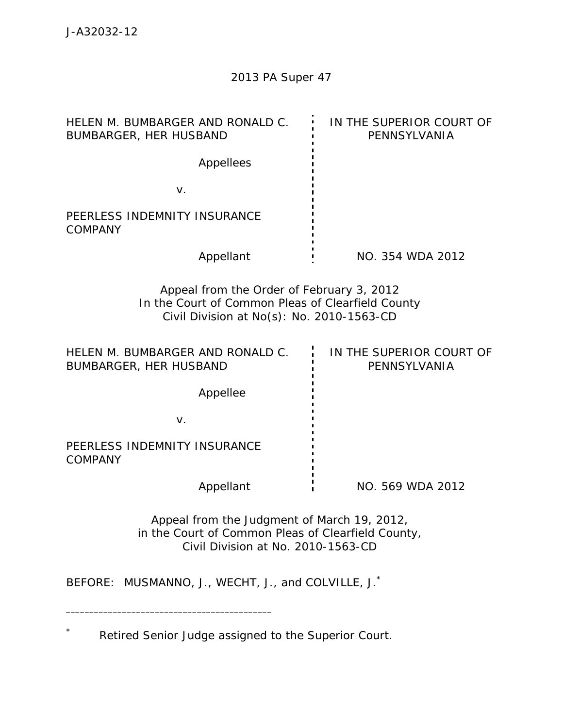| HELEN M. BUMBARGER AND RONALD C.<br><b>BUMBARGER, HER HUSBAND</b>                                                                           | IN THE SUPERIOR COURT OF<br>PENNSYLVANIA |
|---------------------------------------------------------------------------------------------------------------------------------------------|------------------------------------------|
| Appellees                                                                                                                                   |                                          |
| V.                                                                                                                                          |                                          |
| PEERLESS INDEMNITY INSURANCE<br><b>COMPANY</b>                                                                                              |                                          |
| Appellant                                                                                                                                   | NO. 354 WDA 2012                         |
| Appeal from the Order of February 3, 2012<br>In the Court of Common Pleas of Clearfield County<br>Civil Division at No(s): No. 2010-1563-CD |                                          |
| HELEN M. BUMBARGER AND RONALD C.<br>BUMBARGER, HER HUSBAND                                                                                  | IN THE SUPERIOR COURT OF<br>PENNSYLVANIA |
| Appellee                                                                                                                                    |                                          |
| V.                                                                                                                                          |                                          |
| PEERLESS INDEMNITY INSURANCE<br><b>COMPANY</b>                                                                                              |                                          |
| Appellant                                                                                                                                   | NO. 569 WDA 2012                         |
| Appeal from the Judgment of March 19, 2012,<br>in the Court of Common Pleas of Clearfield County,<br>Civil Division at No. 2010-1563-CD     |                                          |
| MUSMANNO, J., WECHT, J., and COLVILLE, J. <sup>*</sup><br>BEFORE:                                                                           |                                          |

\* Retired Senior Judge assigned to the Superior Court.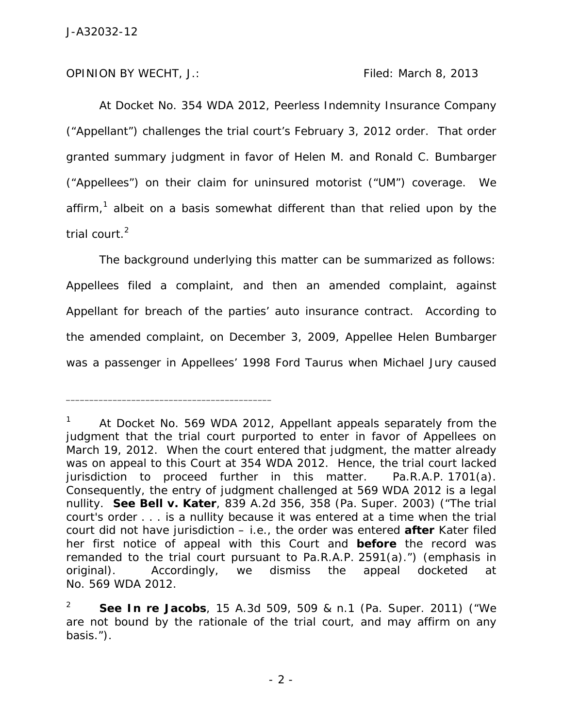OPINION BY WECHT, J.: Filed: March 8, 2013

\_\_\_\_\_\_\_\_\_\_\_\_\_\_\_\_\_\_\_\_\_\_\_\_\_\_\_\_\_\_\_\_\_\_\_\_\_\_\_\_\_\_\_\_

 At Docket No. 354 WDA 2012, Peerless Indemnity Insurance Company ("Appellant") challenges the trial court's February 3, 2012 order. That order granted summary judgment in favor of Helen M. and Ronald C. Bumbarger ("Appellees") on their claim for uninsured motorist ("UM") coverage. We affirm,<sup>1</sup> albeit on a basis somewhat different than that relied upon by the trial court.<sup>2</sup>

 The background underlying this matter can be summarized as follows: Appellees filed a complaint, and then an amended complaint, against Appellant for breach of the parties' auto insurance contract. According to the amended complaint, on December 3, 2009, Appellee Helen Bumbarger was a passenger in Appellees' 1998 Ford Taurus when Michael Jury caused

<sup>1</sup> At Docket No. 569 WDA 2012, Appellant appeals separately from the judgment that the trial court purported to enter in favor of Appellees on March 19, 2012. When the court entered that judgment, the matter already was on appeal to this Court at 354 WDA 2012. Hence, the trial court lacked jurisdiction to proceed further in this matter. Pa.R.A.P. 1701(a). Consequently, the entry of judgment challenged at 569 WDA 2012 is a legal nullity. *See Bell v. Kater*, 839 A.2d 356, 358 (Pa. Super. 2003) ("The trial court's order . . . is a nullity because it was entered at a time when the trial court did not have jurisdiction – *i.e.*, the order was entered **after** Kater filed her first notice of appeal with this Court and **before** the record was remanded to the trial court pursuant to Pa.R.A.P. 2591(a).") (emphasis in original). Accordingly, we dismiss the appeal docketed at No. 569 WDA 2012.

<sup>2</sup> *See In re Jacobs*, 15 A.3d 509, 509 & n.1 (Pa. Super. 2011) ("We are not bound by the rationale of the trial court, and may affirm on any basis.").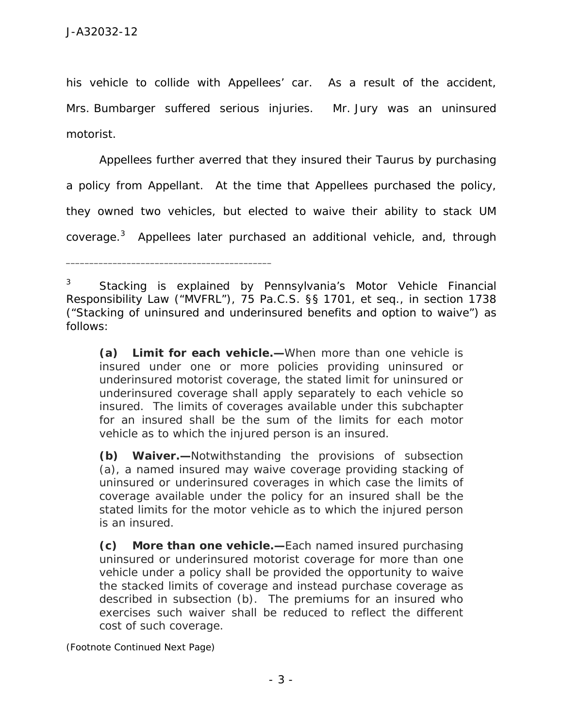his vehicle to collide with Appellees' car. As a result of the accident, Mrs. Bumbarger suffered serious injuries. Mr. Jury was an uninsured motorist.

 Appellees further averred that they insured their Taurus by purchasing a policy from Appellant. At the time that Appellees purchased the policy, they owned two vehicles, but elected to waive their ability to stack UM coverage.<sup>3</sup> Appellees later purchased an additional vehicle, and, through

**(a) Limit for each vehicle.—**When more than one vehicle is insured under one or more policies providing uninsured or underinsured motorist coverage, the stated limit for uninsured or underinsured coverage shall apply separately to each vehicle so insured. The limits of coverages available under this subchapter for an insured shall be the sum of the limits for each motor vehicle as to which the injured person is an insured.

**(b) Waiver.—**Notwithstanding the provisions of subsection (a), a named insured may waive coverage providing stacking of uninsured or underinsured coverages in which case the limits of coverage available under the policy for an insured shall be the stated limits for the motor vehicle as to which the injured person is an insured.

**(c) More than one vehicle.—**Each named insured purchasing uninsured or underinsured motorist coverage for more than one vehicle under a policy shall be provided the opportunity to waive the stacked limits of coverage and instead purchase coverage as described in subsection (b). The premiums for an insured who exercises such waiver shall be reduced to reflect the different cost of such coverage.

*(Footnote Continued Next Page)* 

<sup>3</sup> Stacking is explained by Pennsylvania's Motor Vehicle Financial Responsibility Law ("MVFRL"), 75 Pa.C.S. §§ 1701, *et seq.*, in section 1738 ("Stacking of uninsured and underinsured benefits and option to waive") as follows: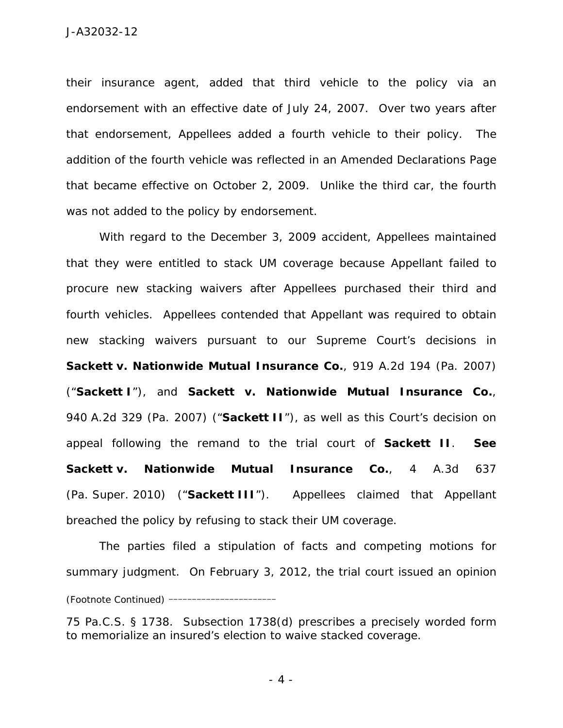their insurance agent, added that third vehicle to the policy via an endorsement with an effective date of July 24, 2007. Over two years after that endorsement, Appellees added a fourth vehicle to their policy. The addition of the fourth vehicle was reflected in an Amended Declarations Page that became effective on October 2, 2009. Unlike the third car, the fourth was not added to the policy by endorsement.

 With regard to the December 3, 2009 accident, Appellees maintained that they were entitled to stack UM coverage because Appellant failed to procure new stacking waivers after Appellees purchased their third and fourth vehicles. Appellees contended that Appellant was required to obtain new stacking waivers pursuant to our Supreme Court's decisions in *Sackett v. Nationwide Mutual Insurance Co.*, 919 A.2d 194 (Pa. 2007) ("*Sackett I*"), and *Sackett v. Nationwide Mutual Insurance Co.*, 940 A.2d 329 (Pa. 2007) ("*Sackett II*"), as well as this Court's decision on appeal following the remand to the trial court of *Sackett II*. *See Sackett v. Nationwide Mutual Insurance Co.*, 4 A.3d 637 (Pa. Super. 2010) ("*Sackett III*"). Appellees claimed that Appellant breached the policy by refusing to stack their UM coverage.

 The parties filed a stipulation of facts and competing motions for summary judgment. On February 3, 2012, the trial court issued an opinion *(Footnote Continued)* \_\_\_\_\_\_\_\_\_\_\_\_\_\_\_\_\_\_\_\_\_\_\_

<sup>75</sup> Pa.C.S. § 1738. Subsection 1738(d) prescribes a precisely worded form to memorialize an insured's election to waive stacked coverage.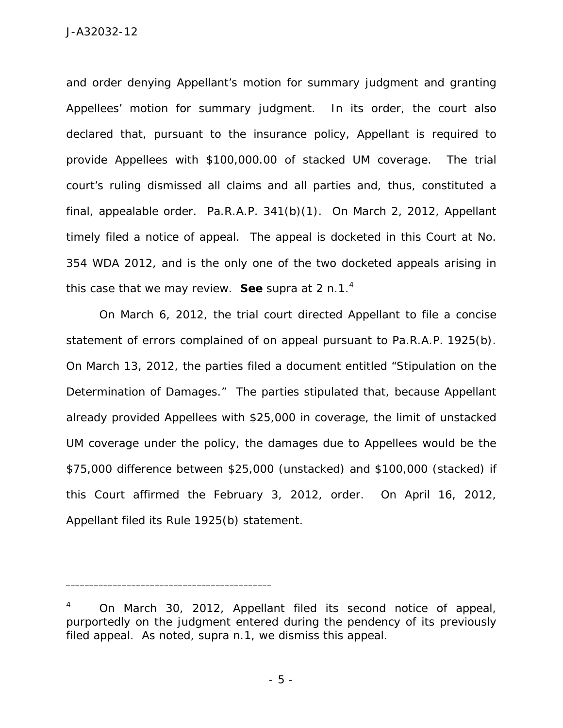and order denying Appellant's motion for summary judgment and granting Appellees' motion for summary judgment. In its order, the court also declared that, pursuant to the insurance policy, Appellant is required to provide Appellees with \$100,000.00 of stacked UM coverage. The trial court's ruling dismissed all claims and all parties and, thus, constituted a final, appealable order. Pa.R.A.P. 341(b)(1). On March 2, 2012, Appellant timely filed a notice of appeal. The appeal is docketed in this Court at No. 354 WDA 2012, and is the only one of the two docketed appeals arising in this case that we may review. *See supra* at 2 n.1.<sup>4</sup>

On March 6, 2012, the trial court directed Appellant to file a concise statement of errors complained of on appeal pursuant to Pa.R.A.P. 1925(b). On March 13, 2012, the parties filed a document entitled "Stipulation on the Determination of Damages." The parties stipulated that, because Appellant already provided Appellees with \$25,000 in coverage, the limit of unstacked UM coverage under the policy, the damages due to Appellees would be the \$75,000 difference between \$25,000 (unstacked) and \$100,000 (stacked) if this Court affirmed the February 3, 2012, order. On April 16, 2012, Appellant filed its Rule 1925(b) statement.

<sup>4</sup> On March 30, 2012, Appellant filed its second notice of appeal, purportedly on the judgment entered during the pendency of its previously filed appeal. As noted, *supra* n.1, we dismiss this appeal.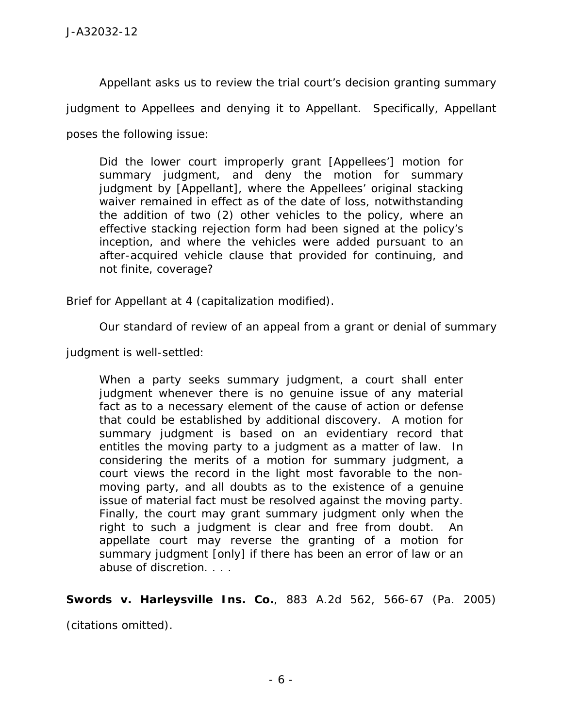Appellant asks us to review the trial court's decision granting summary

judgment to Appellees and denying it to Appellant. Specifically, Appellant

poses the following issue:

Did the lower court improperly grant [Appellees'] motion for summary judgment, and deny the motion for summary judgment by [Appellant], where the Appellees' original stacking waiver remained in effect as of the date of loss, notwithstanding the addition of two (2) other vehicles to the policy, where an effective stacking rejection form had been signed at the policy's inception, and where the vehicles were added pursuant to an after-acquired vehicle clause that provided for continuing, and not finite, coverage?

Brief for Appellant at 4 (capitalization modified).

Our standard of review of an appeal from a grant or denial of summary

judgment is well-settled:

When a party seeks summary judgment, a court shall enter judgment whenever there is no genuine issue of any material fact as to a necessary element of the cause of action or defense that could be established by additional discovery. A motion for summary judgment is based on an evidentiary record that entitles the moving party to a judgment as a matter of law. In considering the merits of a motion for summary judgment, a court views the record in the light most favorable to the nonmoving party, and all doubts as to the existence of a genuine issue of material fact must be resolved against the moving party. Finally, the court may grant summary judgment only when the right to such a judgment is clear and free from doubt. An appellate court may reverse the granting of a motion for summary judgment [only] if there has been an error of law or an abuse of discretion. . . .

*Swords v. Harleysville Ins. Co.*, 883 A.2d 562, 566-67 (Pa. 2005)

(citations omitted).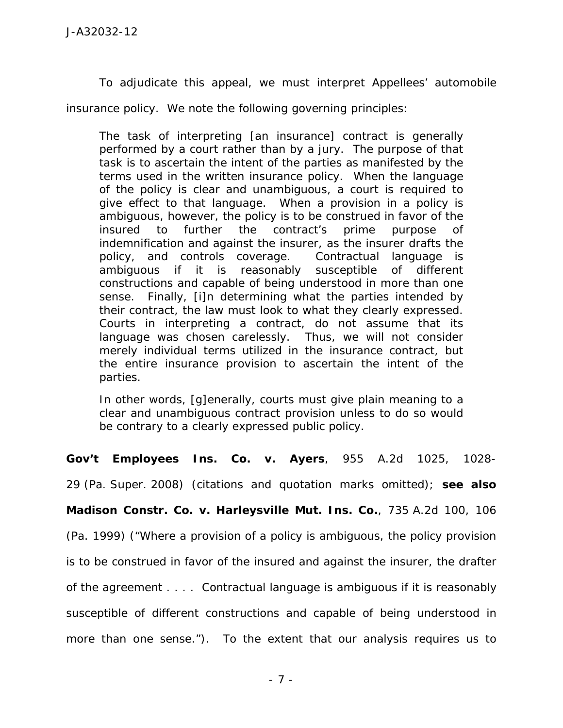To adjudicate this appeal, we must interpret Appellees' automobile

insurance policy. We note the following governing principles:

The task of interpreting [an insurance] contract is generally performed by a court rather than by a jury. The purpose of that task is to ascertain the intent of the parties as manifested by the terms used in the written insurance policy. When the language of the policy is clear and unambiguous, a court is required to give effect to that language. When a provision in a policy is ambiguous, however, the policy is to be construed in favor of the insured to further the contract's prime purpose of indemnification and against the insurer, as the insurer drafts the policy, and controls coverage. Contractual language is ambiguous if it is reasonably susceptible of different constructions and capable of being understood in more than one sense. Finally, [i]n determining what the parties intended by their contract, the law must look to what they clearly expressed. Courts in interpreting a contract, do not assume that its language was chosen carelessly. Thus, we will not consider merely individual terms utilized in the insurance contract, but the entire insurance provision to ascertain the intent of the parties.

In other words, [g]enerally, courts must give plain meaning to a clear and unambiguous contract provision unless to do so would be contrary to a clearly expressed public policy.

*Gov't Employees Ins. Co. v. Ayers*, 955 A.2d 1025, 1028-

29 (Pa. Super. 2008) (citations and quotation marks omitted); *see also* 

*Madison Constr. Co. v. Harleysville Mut. Ins. Co.*, 735 A.2d 100, 106

(Pa. 1999) ("Where a provision of a policy is ambiguous, the policy provision is to be construed in favor of the insured and against the insurer, the drafter of the agreement . . . . Contractual language is ambiguous if it is reasonably susceptible of different constructions and capable of being understood in more than one sense."). To the extent that our analysis requires us to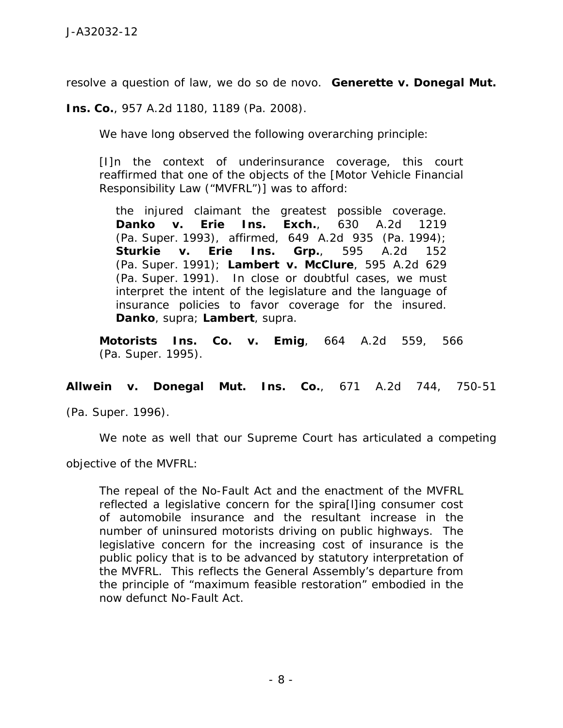resolve a question of law, we do so *de novo*. *Generette v. Donegal Mut.* 

*Ins. Co.*, 957 A.2d 1180, 1189 (Pa. 2008).

We have long observed the following overarching principle:

[I]n the context of underinsurance coverage, this court reaffirmed that one of the objects of the [Motor Vehicle Financial Responsibility Law ("MVFRL")] was to afford:

the injured claimant the greatest possible coverage. *Danko v. Erie Ins. Exch.*, 630 A.2d 1219 (Pa. Super. 1993), *affirmed*, 649 A.2d 935 (Pa. 1994); *Sturkie v. Erie Ins. Grp.*, 595 A.2d 152 (Pa. Super. 1991); *Lambert v. McClure*, 595 A.2d 629 (Pa. Super. 1991). In close or doubtful cases, we must interpret the intent of the legislature and the language of insurance policies to favor coverage for the insured. *Danko*, *supra*; *Lambert*, *supra*.

*Motorists Ins. Co. v. Emig*, 664 A.2d 559, 566 (Pa. Super. 1995).

*Allwein v. Donegal Mut. Ins. Co.*, 671 A.2d 744, 750-51

(Pa. Super. 1996).

We note as well that our Supreme Court has articulated a competing

objective of the MVFRL:

The repeal of the No-Fault Act and the enactment of the MVFRL reflected a legislative concern for the spira[l]ing consumer cost of automobile insurance and the resultant increase in the number of uninsured motorists driving on public highways. The legislative concern for the increasing cost of insurance is the public policy that is to be advanced by statutory interpretation of the MVFRL. This reflects the General Assembly's departure from the principle of "maximum feasible restoration" embodied in the now defunct No-Fault Act.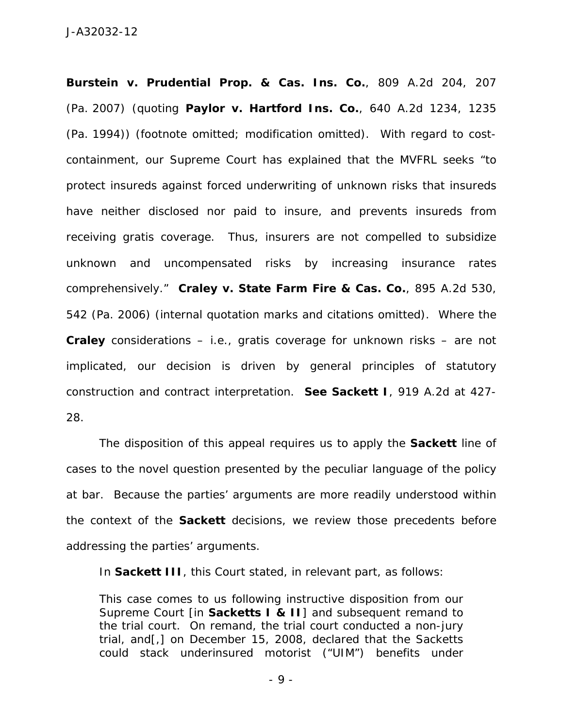*Burstein v. Prudential Prop. & Cas. Ins. Co.*, 809 A.2d 204, 207 (Pa. 2007) (quoting *Paylor v. Hartford Ins. Co.*, 640 A.2d 1234, 1235 (Pa. 1994)) (footnote omitted; modification omitted). With regard to costcontainment, our Supreme Court has explained that the MVFRL seeks "to protect insureds against forced underwriting of unknown risks that insureds have neither disclosed nor paid to insure, and prevents insureds from receiving gratis coverage. Thus, insurers are not compelled to subsidize unknown and uncompensated risks by increasing insurance rates comprehensively." *Craley v. State Farm Fire & Cas. Co.*, 895 A.2d 530, 542 (Pa. 2006) (internal quotation marks and citations omitted). Where the *Craley* considerations – *i.e.*, *gratis* coverage for unknown risks – are not implicated, our decision is driven by general principles of statutory construction and contract interpretation. *See Sackett I*, 919 A.2d at 427- 28.

 The disposition of this appeal requires us to apply the *Sackett* line of cases to the novel question presented by the peculiar language of the policy at bar. Because the parties' arguments are more readily understood within the context of the *Sackett* decisions, we review those precedents before addressing the parties' arguments.

In *Sackett III*, this Court stated, in relevant part, as follows:

This case comes to us following instructive disposition from our Supreme Court [in *Sacketts I & II*] and subsequent remand to the trial court. On remand, the trial court conducted a non-jury trial, and[,] on December 15, 2008, declared that the Sacketts could stack underinsured motorist ("UIM") benefits under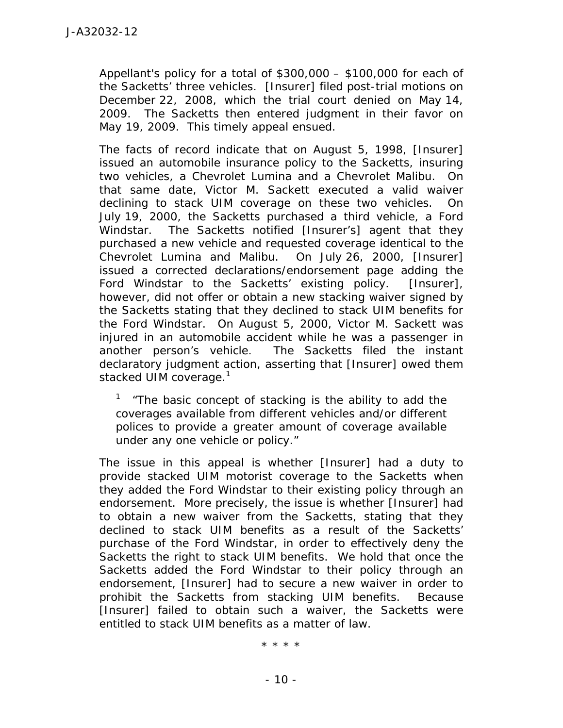Appellant's policy for a total of \$300,000 – \$100,000 for each of the Sacketts' three vehicles. [Insurer] filed post-trial motions on December 22, 2008, which the trial court denied on May 14, 2009. The Sacketts then entered judgment in their favor on May 19, 2009. This timely appeal ensued.

The facts of record indicate that on August 5, 1998, [Insurer] issued an automobile insurance policy to the Sacketts, insuring two vehicles, a Chevrolet Lumina and a Chevrolet Malibu. On that same date, Victor M. Sackett executed a valid waiver declining to stack UIM coverage on these two vehicles. On July 19, 2000, the Sacketts purchased a third vehicle, a Ford Windstar. The Sacketts notified [Insurer's] agent that they purchased a new vehicle and requested coverage identical to the Chevrolet Lumina and Malibu. On July 26, 2000, [Insurer] issued a corrected declarations/endorsement page adding the Ford Windstar to the Sacketts' existing policy. [Insurer], however, did not offer or obtain a new stacking waiver signed by the Sacketts stating that they declined to stack UIM benefits for the Ford Windstar. On August 5, 2000, Victor M. Sackett was injured in an automobile accident while he was a passenger in another person's vehicle. The Sacketts filed the instant declaratory judgment action, asserting that [Insurer] owed them stacked UIM coverage.<sup>1</sup>

<sup>1</sup> "The basic concept of stacking is the ability to add the coverages available from different vehicles and/or different polices to provide a greater amount of coverage available under any one vehicle or policy."

The issue in this appeal is whether [Insurer] had a duty to provide stacked UIM motorist coverage to the Sacketts when they added the Ford Windstar to their existing policy through an endorsement. More precisely, the issue is whether [Insurer] had to obtain a new waiver from the Sacketts, stating that they declined to stack UIM benefits as a result of the Sacketts' purchase of the Ford Windstar, in order to effectively deny the Sacketts the right to stack UIM benefits. We hold that once the Sacketts added the Ford Windstar to their policy through an endorsement, [Insurer] had to secure a new waiver in order to prohibit the Sacketts from stacking UIM benefits. Because [Insurer] failed to obtain such a waiver, the Sacketts were entitled to stack UIM benefits as a matter of law.

\* \* \* \*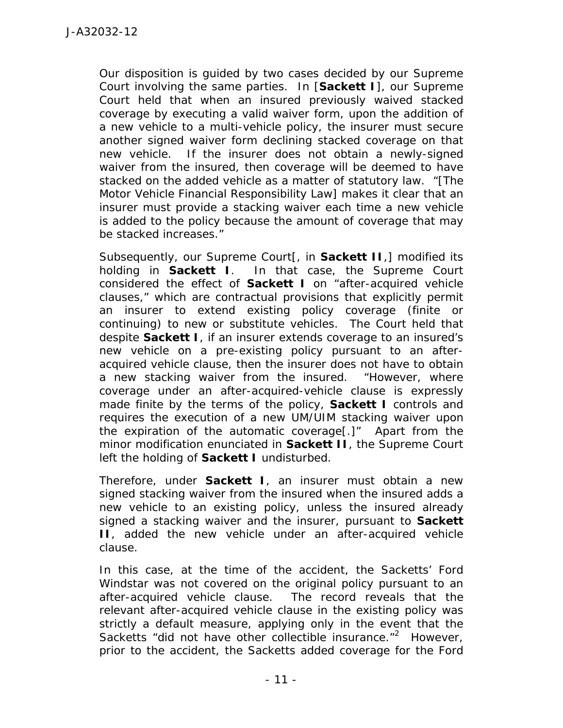Our disposition is guided by two cases decided by our Supreme Court involving the same parties. In [*Sackett I*], our Supreme Court held that when an insured previously waived stacked coverage by executing a valid waiver form, upon the addition of a new vehicle to a multi-vehicle policy, the insurer must secure another signed waiver form declining stacked coverage on that new vehicle. If the insurer does not obtain a newly-signed waiver from the insured, then coverage will be deemed to have stacked on the added vehicle as a matter of statutory law. "[The Motor Vehicle Financial Responsibility Law] makes it clear that an insurer must provide a stacking waiver each time a new vehicle is added to the policy because the amount of coverage that may be stacked increases."

Subsequently, our Supreme Court[, in *Sackett II*,] modified its holding in *Sackett I.* In that case, the Supreme Court considered the effect of *Sackett I* on "after-acquired vehicle clauses," which are contractual provisions that explicitly permit an insurer to extend existing policy coverage (finite or continuing) to new or substitute vehicles. The Court held that despite *Sackett I*, if an insurer extends coverage to an insured's new vehicle on a pre-existing policy pursuant to an afteracquired vehicle clause, then the insurer does not have to obtain a new stacking waiver from the insured. "However, where coverage under an after-acquired-vehicle clause is expressly made finite by the terms of the policy, *Sackett I* controls and requires the execution of a new UM/UIM stacking waiver upon the expiration of the automatic coverage[.]" Apart from the minor modification enunciated in *Sackett II*, the Supreme Court left the holding of *Sackett I* undisturbed.

Therefore, under *Sackett I*, an insurer must obtain a new signed stacking waiver from the insured when the insured adds a new vehicle to an existing policy, unless the insured already signed a stacking waiver and the insurer, pursuant to *Sackett II*, added the new vehicle under an after-acquired vehicle clause.

In this case, at the time of the accident, the Sacketts' Ford Windstar was not covered on the original policy pursuant to an after-acquired vehicle clause. The record reveals that the relevant after-acquired vehicle clause in the existing policy was strictly a default measure, applying only in the event that the Sacketts "did not have other collectible insurance."<sup>2</sup> However, prior to the accident, the Sacketts added coverage for the Ford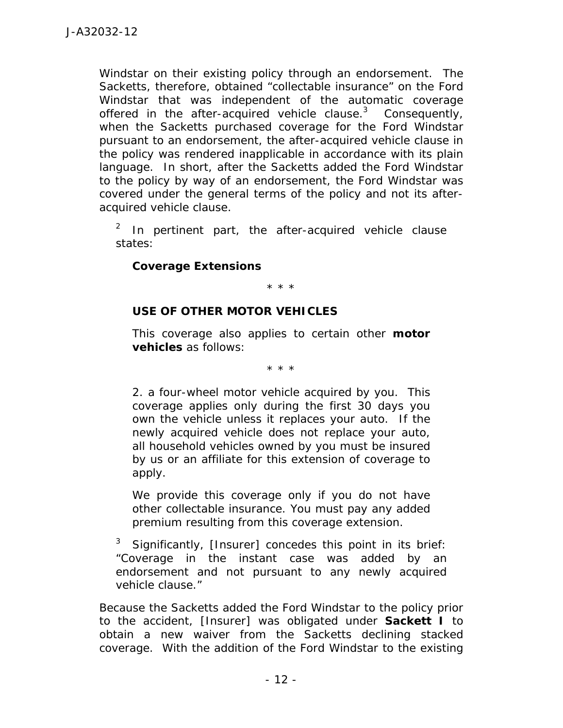Windstar on their existing policy through an endorsement. The Sacketts, therefore, obtained "collectable insurance" on the Ford Windstar that was independent of the automatic coverage offered in the after-acquired vehicle clause. $3$  Consequently, when the Sacketts purchased coverage for the Ford Windstar pursuant to an endorsement, the after-acquired vehicle clause in the policy was rendered inapplicable in accordance with its plain language. In short, after the Sacketts added the Ford Windstar to the policy by way of an endorsement, the Ford Windstar was covered under the general terms of the policy and not its afteracquired vehicle clause.

2 In pertinent part, the after-acquired vehicle clause states:

## *Coverage Extensions*

\* \* \*

## **USE OF OTHER MOTOR VEHICLES**

This coverage also applies to certain other **motor vehicles** as follows:

\* \* \*

2. a four-wheel motor vehicle acquired by you. This coverage applies only during the first 30 days you own the vehicle unless it replaces your auto. If the newly acquired vehicle does not replace your auto, all household vehicles owned by you must be insured by us or an affiliate for this extension of coverage to apply.

We provide this coverage only if you do not have other collectable insurance. You must pay any added premium resulting from this coverage extension.

<sup>3</sup> Significantly, [Insurer] concedes this point in its brief: "Coverage in the instant case was added by an endorsement and not pursuant to any newly acquired vehicle clause."

Because the Sacketts added the Ford Windstar to the policy prior to the accident, [Insurer] was obligated under *Sackett I* to obtain a new waiver from the Sacketts declining stacked coverage. With the addition of the Ford Windstar to the existing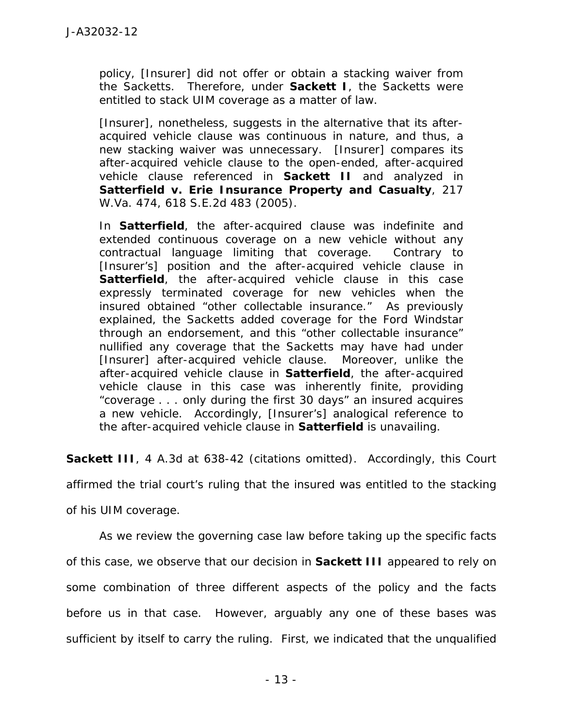policy, [Insurer] did not offer or obtain a stacking waiver from the Sacketts. Therefore, under *Sackett I*, the Sacketts were entitled to stack UIM coverage as a matter of law.

[Insurer], nonetheless, suggests in the alternative that its afteracquired vehicle clause was continuous in nature, and thus, a new stacking waiver was unnecessary. [Insurer] compares its after-acquired vehicle clause to the open-ended, after-acquired vehicle clause referenced in *Sackett II* and analyzed in *Satterfield v. Erie Insurance Property and Casualty*, 217 W.Va. 474, 618 S.E.2d 483 (2005).

In *Satterfield*, the after-acquired clause was indefinite and extended continuous coverage on a new vehicle without any contractual language limiting that coverage. Contrary to [Insurer's] position and the after-acquired vehicle clause in **Satterfield**, the after-acquired vehicle clause in this case expressly terminated coverage for new vehicles when the insured obtained "other collectable insurance." As previously explained, the Sacketts added coverage for the Ford Windstar through an endorsement, and this "other collectable insurance" nullified any coverage that the Sacketts may have had under [Insurer] after-acquired vehicle clause. Moreover, unlike the after-acquired vehicle clause in *Satterfield*, the after-acquired vehicle clause in this case was inherently finite, providing "coverage . . . only during the first 30 days" an insured acquires a new vehicle. Accordingly, [Insurer's] analogical reference to the after-acquired vehicle clause in *Satterfield* is unavailing.

**Sackett III**, 4 A.3d at 638-42 (citations omitted). Accordingly, this Court

affirmed the trial court's ruling that the insured was entitled to the stacking

of his UIM coverage.

 As we review the governing case law before taking up the specific facts of this case, we observe that our decision in *Sackett III* appeared to rely on some combination of three different aspects of the policy and the facts before us in that case. However, arguably any one of these bases was sufficient by itself to carry the ruling. First, we indicated that the unqualified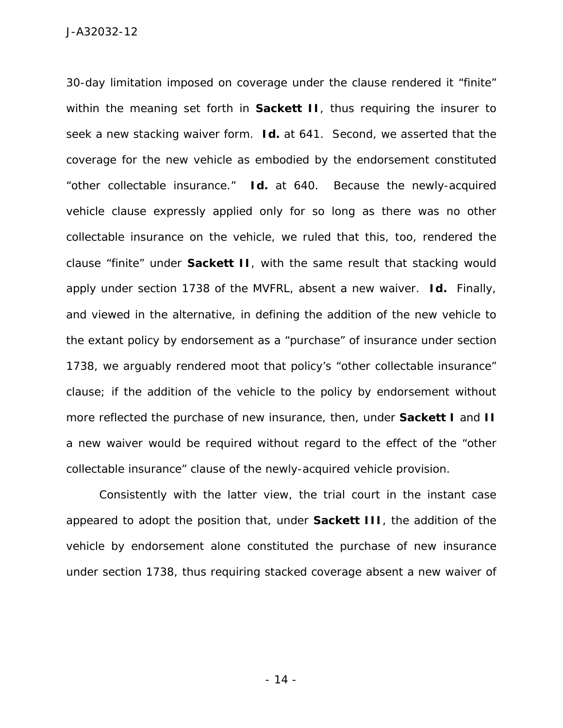30-day limitation imposed on coverage under the clause rendered it "finite" within the meaning set forth in **Sackett II**, thus requiring the insurer to seek a new stacking waiver form. *Id.* at 641. Second, we asserted that the coverage for the new vehicle as embodied by the endorsement constituted "other collectable insurance." *Id.* at 640. Because the newly-acquired vehicle clause expressly applied only for so long as there was no other collectable insurance on the vehicle, we ruled that this, too, rendered the clause "finite" under *Sackett II*, with the same result that stacking would apply under section 1738 of the MVFRL, absent a new waiver. *Id.* Finally, and viewed in the alternative, in defining the addition of the new vehicle to the extant policy by endorsement as a "purchase" of insurance under section 1738, we arguably rendered moot that policy's "other collectable insurance" clause; if the addition of the vehicle to the policy by endorsement without more reflected the purchase of new insurance, then, under *Sackett I* and *II* a new waiver would be required without regard to the effect of the "other collectable insurance" clause of the newly-acquired vehicle provision.

Consistently with the latter view, the trial court in the instant case appeared to adopt the position that, under *Sackett III*, the addition of the vehicle by endorsement alone constituted the purchase of new insurance under section 1738, thus requiring stacked coverage absent a new waiver of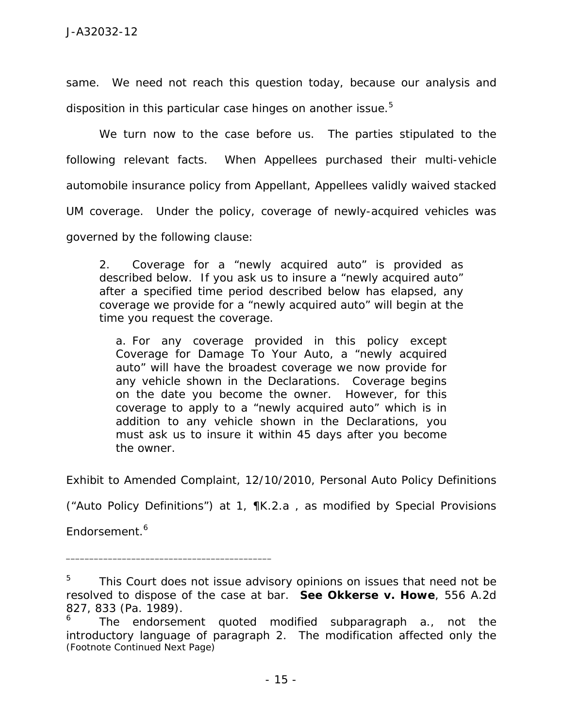same. We need not reach this question today, because our analysis and disposition in this particular case hinges on another issue. $5$ 

 We turn now to the case before us. The parties stipulated to the following relevant facts. When Appellees purchased their multi-vehicle automobile insurance policy from Appellant, Appellees validly waived stacked UM coverage. Under the policy, coverage of newly-acquired vehicles was governed by the following clause:

2. Coverage for a "newly acquired auto" is provided as described below. If you ask us to insure a "newly acquired auto" after a specified time period described below has elapsed, any coverage we provide for a "newly acquired auto" will begin at the time you request the coverage.

a. For any coverage provided in this policy except Coverage for Damage To Your Auto, a "newly acquired auto" will have the broadest coverage we now provide for any vehicle shown in the Declarations. Coverage begins on the date you become the owner. However, for this coverage to apply to a "newly acquired auto" which is in addition to any vehicle shown in the Declarations, you must ask us to insure it within 45 days after you become the owner.

Exhibit to Amended Complaint, 12/10/2010, Personal Auto Policy Definitions

("Auto Policy Definitions") at 1, ¶K.2.a , as modified by Special Provisions

Endorsement.<sup>6</sup>

<sup>5</sup> This Court does not issue advisory opinions on issues that need not be resolved to dispose of the case at bar. *See Okkerse v. Howe*, 556 A.2d 827, 833 (Pa. 1989).

<sup>6</sup> The endorsement quoted modified subparagraph a., not the introductory language of paragraph 2. The modification affected only the *(Footnote Continued Next Page)*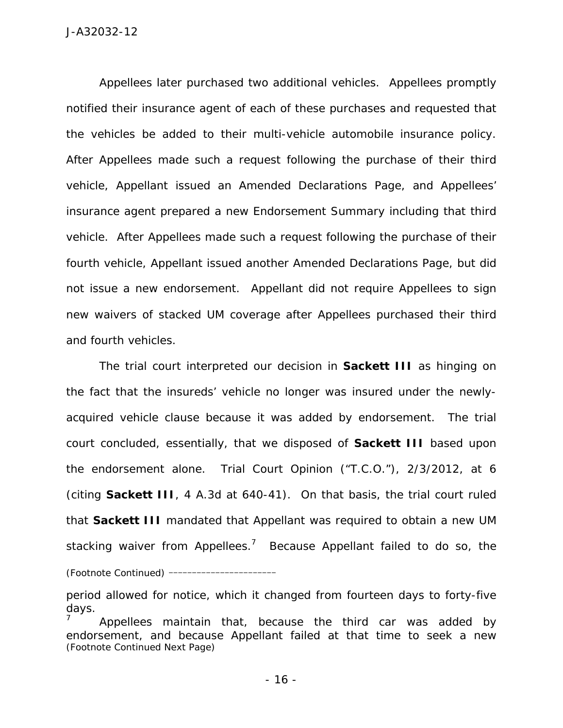Appellees later purchased two additional vehicles. Appellees promptly notified their insurance agent of each of these purchases and requested that the vehicles be added to their multi-vehicle automobile insurance policy. After Appellees made such a request following the purchase of their third vehicle, Appellant issued an Amended Declarations Page, and Appellees' insurance agent prepared a new Endorsement Summary including that third vehicle. After Appellees made such a request following the purchase of their fourth vehicle, Appellant issued another Amended Declarations Page, but did not issue a new endorsement. Appellant did not require Appellees to sign new waivers of stacked UM coverage after Appellees purchased their third and fourth vehicles.

 The trial court interpreted our decision in *Sackett III* as hinging on the fact that the insureds' vehicle no longer was insured under the newlyacquired vehicle clause because it was added by endorsement. The trial court concluded, essentially, that we disposed of *Sackett III* based upon the endorsement alone. Trial Court Opinion ("T.C.O."), 2/3/2012, at 6 (citing *Sackett III*, 4 A.3d at 640-41). On that basis, the trial court ruled that *Sackett III* mandated that Appellant was required to obtain a new UM stacking waiver from Appellees.<sup>7</sup> Because Appellant failed to do so, the *(Footnote Continued)* \_\_\_\_\_\_\_\_\_\_\_\_\_\_\_\_\_\_\_\_\_\_\_

period allowed for notice, which it changed from fourteen days to forty-five days.

<sup>7</sup> Appellees maintain that, because the third car was added by endorsement, and because Appellant failed at that time to seek a new *(Footnote Continued Next Page)*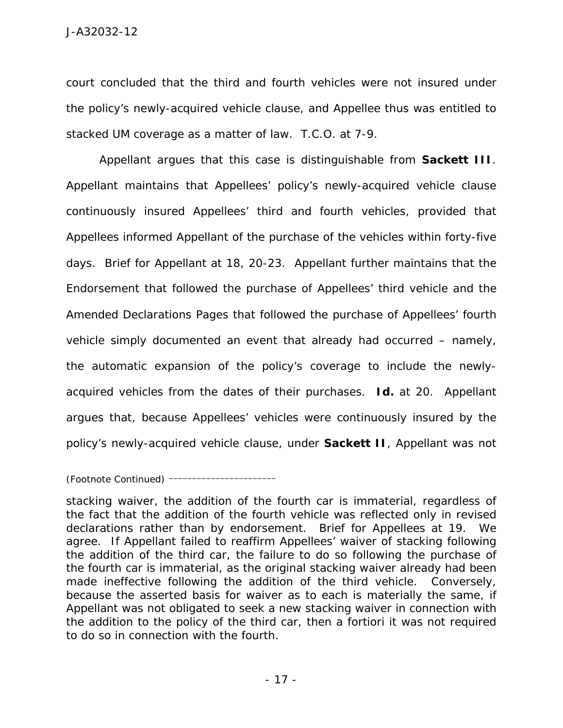court concluded that the third and fourth vehicles were not insured under the policy's newly-acquired vehicle clause, and Appellee thus was entitled to stacked UM coverage as a matter of law. T.C.O. at 7-9.

 Appellant argues that this case is distinguishable from *Sackett III*. Appellant maintains that Appellees' policy's newly-acquired vehicle clause continuously insured Appellees' third and fourth vehicles, provided that Appellees informed Appellant of the purchase of the vehicles within forty-five days. Brief for Appellant at 18, 20-23. Appellant further maintains that the Endorsement that followed the purchase of Appellees' third vehicle and the Amended Declarations Pages that followed the purchase of Appellees' fourth vehicle simply documented an event that already had occurred – namely, the automatic expansion of the policy's coverage to include the newlyacquired vehicles from the dates of their purchases. *Id.* at 20. Appellant argues that, because Appellees' vehicles were continuously insured by the policy's newly-acquired vehicle clause, under *Sackett II*, Appellant was not

## *(Footnote Continued)* \_\_\_\_\_\_\_\_\_\_\_\_\_\_\_\_\_\_\_\_\_\_\_

stacking waiver, the addition of the fourth car is immaterial, regardless of the fact that the addition of the fourth vehicle was reflected only in revised declarations rather than by endorsement. Brief for Appellees at 19. We agree. If Appellant failed to reaffirm Appellees' waiver of stacking following the addition of the third car, the failure to do so following the purchase of the fourth car is immaterial, as the original stacking waiver already had been made ineffective following the addition of the third vehicle. Conversely, because the asserted basis for waiver as to each is materially the same, if Appellant was not obligated to seek a new stacking waiver in connection with the addition to the policy of the third car, then *a fortiori* it was not required to do so in connection with the fourth.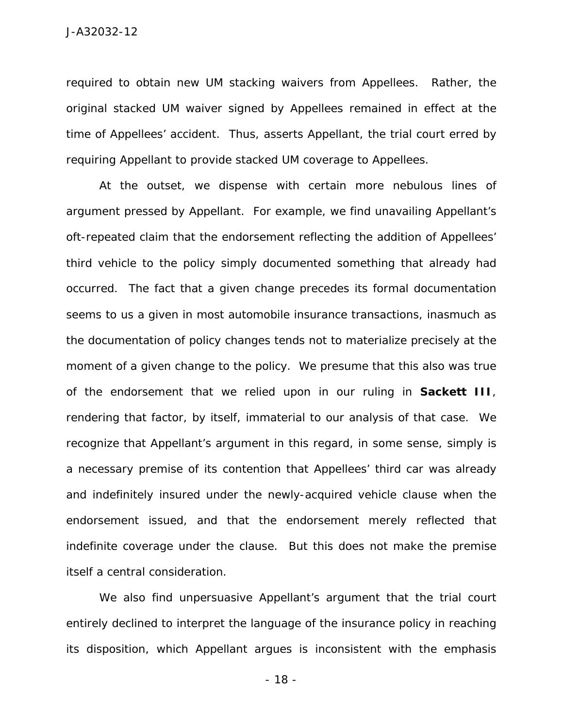required to obtain new UM stacking waivers from Appellees. Rather, the original stacked UM waiver signed by Appellees remained in effect at the time of Appellees' accident. Thus, asserts Appellant, the trial court erred by requiring Appellant to provide stacked UM coverage to Appellees.

 At the outset, we dispense with certain more nebulous lines of argument pressed by Appellant. For example, we find unavailing Appellant's oft-repeated claim that the endorsement reflecting the addition of Appellees' third vehicle to the policy simply documented something that already had occurred. The fact that a given change precedes its formal documentation seems to us a given in most automobile insurance transactions, inasmuch as the documentation of policy changes tends not to materialize precisely at the moment of a given change to the policy. We presume that this also was true of the endorsement that we relied upon in our ruling in *Sackett III*, rendering that factor, by itself, immaterial to our analysis of that case. We recognize that Appellant's argument in this regard, in some sense, simply is a necessary premise of its contention that Appellees' third car was already and indefinitely insured under the newly-acquired vehicle clause when the endorsement issued, and that the endorsement merely reflected that indefinite coverage under the clause. But this does not make the premise itself a central consideration.

 We also find unpersuasive Appellant's argument that the trial court entirely declined to interpret the language of the insurance policy in reaching its disposition, which Appellant argues is inconsistent with the emphasis

- 18 -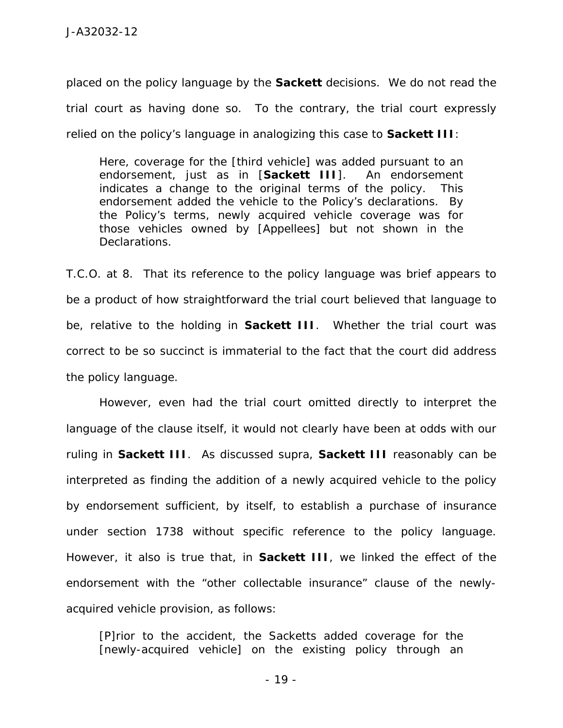placed on the policy language by the *Sackett* decisions. We do not read the trial court as having done so. To the contrary, the trial court expressly relied on the policy's language in analogizing this case to *Sackett III*:

Here, coverage for the [third vehicle] was added pursuant to an endorsement, just as in [*Sackett III*]. An endorsement indicates a change to the original terms of the policy. This endorsement added the vehicle to the Policy's declarations. By the Policy's terms, newly acquired vehicle coverage was for those vehicles owned by [Appellees] but not shown in the Declarations.

T.C.O. at 8. That its reference to the policy language was brief appears to be a product of how straightforward the trial court believed that language to be, relative to the holding in *Sackett III*. Whether the trial court was correct to be so succinct is immaterial to the fact that the court did address the policy language.

 However, even had the trial court omitted directly to interpret the language of the clause itself, it would not clearly have been at odds with our ruling in *Sackett III*. As discussed *supra*, *Sackett III* reasonably can be interpreted as finding the addition of a newly acquired vehicle to the policy by endorsement sufficient, by itself, to establish a purchase of insurance under section 1738 without specific reference to the policy language. However, it also is true that, in *Sackett III*, we linked the effect of the endorsement with the "other collectable insurance" clause of the newlyacquired vehicle provision, as follows:

[P]rior to the accident, the Sacketts added coverage for the [newly-acquired vehicle] on the existing policy through an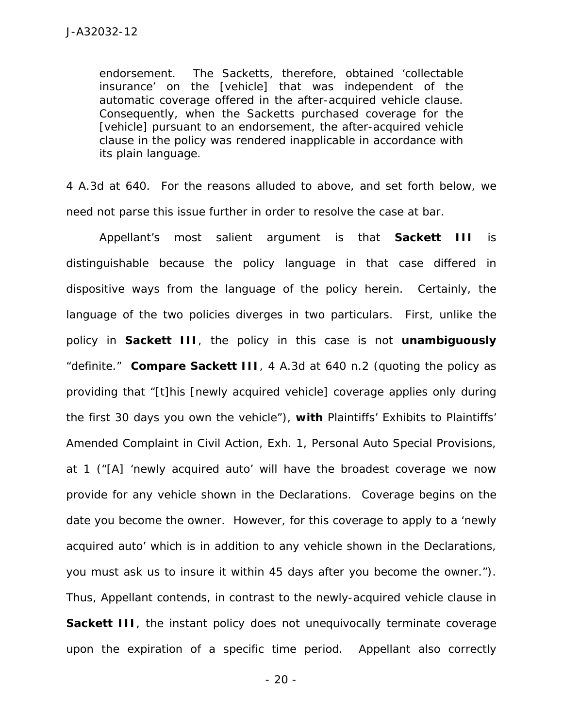endorsement. The Sacketts, therefore, obtained 'collectable insurance' on the [vehicle] that was independent of the automatic coverage offered in the after-acquired vehicle clause. Consequently, when the Sacketts purchased coverage for the [vehicle] pursuant to an endorsement, the after-acquired vehicle clause in the policy was rendered inapplicable in accordance with its plain language.

4 A.3d at 640. For the reasons alluded to above, and set forth below, we need not parse this issue further in order to resolve the case at bar.

 Appellant's most salient argument is that *Sackett III* is distinguishable because the policy language in that case differed in dispositive ways from the language of the policy herein. Certainly, the language of the two policies diverges in two particulars. First, unlike the policy in *Sackett III*, the policy in this case is not **unambiguously** "definite." *Compare Sackett III*, 4 A.3d at 640 n.2 (quoting the policy as providing that "[t]his [newly acquired vehicle] coverage applies only during the first 30 days you own the vehicle"), *with* Plaintiffs' Exhibits to Plaintiffs' Amended Complaint in Civil Action, Exh. 1, Personal Auto Special Provisions, at 1 ("[A] 'newly acquired auto' will have the broadest coverage we now provide for any vehicle shown in the Declarations. Coverage begins on the date you become the owner. However, for this coverage to apply to a 'newly acquired auto' which is in addition to any vehicle shown in the Declarations, you must ask us to insure it within 45 days after you become the owner."). Thus, Appellant contends, in contrast to the newly-acquired vehicle clause in **Sackett III**, the instant policy does not unequivocally terminate coverage upon the expiration of a specific time period. Appellant also correctly

- 20 -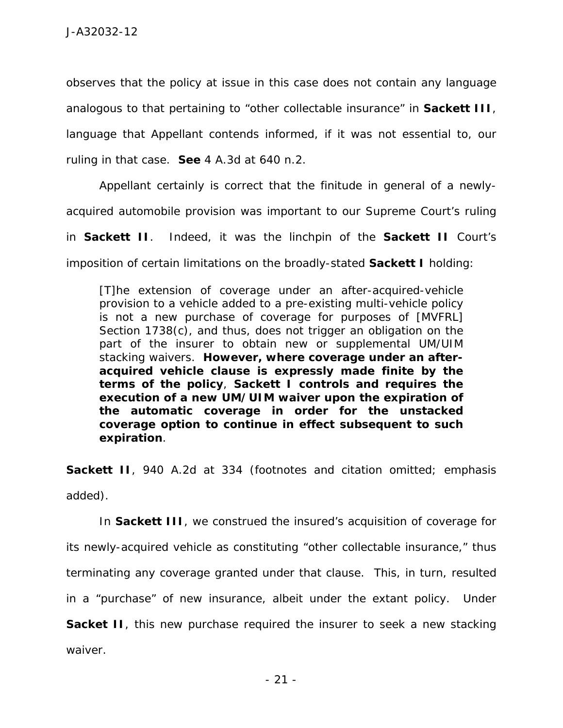observes that the policy at issue in this case does not contain any language analogous to that pertaining to "other collectable insurance" in *Sackett III*, language that Appellant contends informed, if it was not essential to, our ruling in that case. *See* 4 A.3d at 640 n.2.

 Appellant certainly is correct that the finitude in general of a newlyacquired automobile provision was important to our Supreme Court's ruling in *Sackett II*. Indeed, it was the linchpin of the *Sackett II* Court's

imposition of certain limitations on the broadly-stated *Sackett I* holding:

[T]he extension of coverage under an after-acquired-vehicle provision to a vehicle added to a pre-existing multi-vehicle policy is not a new purchase of coverage for purposes of [MVFRL] Section 1738(c), and thus, does not trigger an obligation on the part of the insurer to obtain new or supplemental UM/UIM stacking waivers. **However, where coverage under an afteracquired vehicle clause is expressly made finite by the terms of the policy**, *Sackett I* **controls and requires the execution of a new UM/UIM waiver upon the expiration of the automatic coverage in order for the unstacked coverage option to continue in effect subsequent to such expiration**.

**Sackett II**, 940 A.2d at 334 (footnotes and citation omitted; emphasis added).

In *Sackett III*, we construed the insured's acquisition of coverage for its newly-acquired vehicle as constituting "other collectable insurance," thus terminating any coverage granted under that clause. This, in turn, resulted in a "purchase" of new insurance, albeit under the extant policy. Under **Sacket II**, this new purchase required the insurer to seek a new stacking waiver.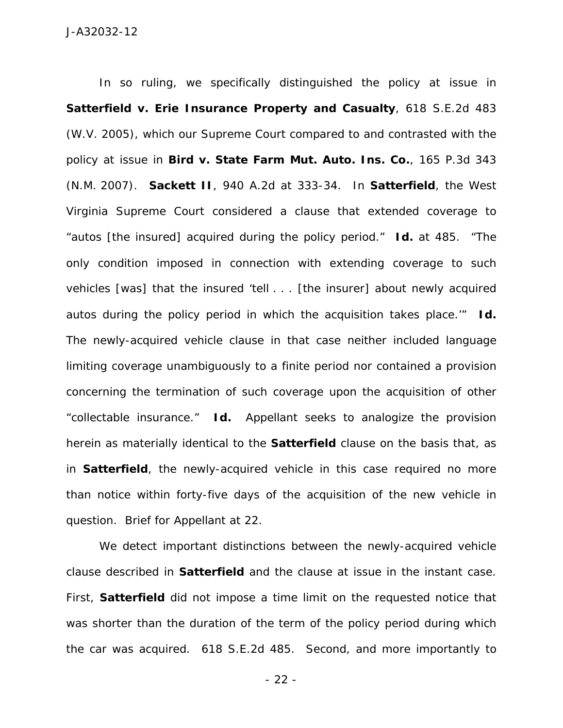In so ruling, we specifically distinguished the policy at issue in *Satterfield v. Erie Insurance Property and Casualty*, 618 S.E.2d 483 (W.V. 2005), which our Supreme Court compared to and contrasted with the policy at issue in *Bird v. State Farm Mut. Auto. Ins. Co.*, 165 P.3d 343 (N.M. 2007). *Sackett II*, 940 A.2d at 333-34. In *Satterfield*, the West Virginia Supreme Court considered a clause that extended coverage to "autos [the insured] acquired during the policy period." *Id.* at 485. "The only condition imposed in connection with extending coverage to such vehicles [was] that the insured 'tell . . . [the insurer] about newly acquired autos during the policy period in which the acquisition takes place.'" *Id.* The newly-acquired vehicle clause in that case neither included language limiting coverage unambiguously to a finite period nor contained a provision concerning the termination of such coverage upon the acquisition of other "collectable insurance." *Id.* Appellant seeks to analogize the provision herein as materially identical to the *Satterfield* clause on the basis that, as in *Satterfield*, the newly-acquired vehicle in this case required no more than notice within forty-five days of the acquisition of the new vehicle in question. Brief for Appellant at 22.

We detect important distinctions between the newly-acquired vehicle clause described in *Satterfield* and the clause at issue in the instant case. First, *Satterfield* did not impose a time limit on the requested notice that was shorter than the duration of the term of the policy period during which the car was acquired. 618 S.E.2d 485. Second, and more importantly to

- 22 -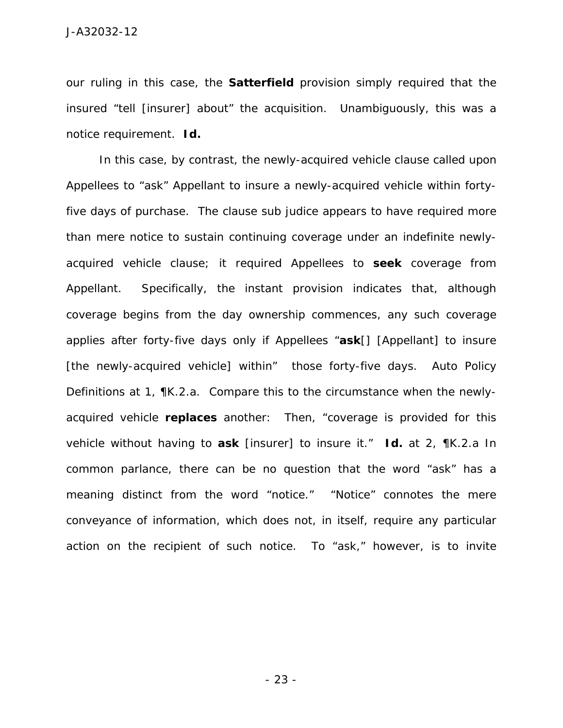our ruling in this case, the *Satterfield* provision simply required that the insured "tell [insurer] about" the acquisition. Unambiguously, this was a notice requirement. *Id.*

In this case, by contrast, the newly-acquired vehicle clause called upon Appellees to "ask" Appellant to insure a newly-acquired vehicle within fortyfive days of purchase. The clause *sub judice* appears to have required more than mere notice to sustain continuing coverage under an indefinite newlyacquired vehicle clause; it required Appellees to **seek** coverage from Appellant. Specifically, the instant provision indicates that, although coverage begins from the day ownership commences, any such coverage applies after forty-five days only if Appellees "**ask**[] [Appellant] to insure [the newly-acquired vehicle] within" those forty-five days. Auto Policy Definitions at 1, ¶K.2.a. Compare this to the circumstance when the newlyacquired vehicle **replaces** another: Then, "coverage is provided for this vehicle without having to **ask** [insurer] to insure it." *Id.* at 2, ¶K.2.a In common parlance, there can be no question that the word "ask" has a meaning distinct from the word "notice." "Notice" connotes the mere conveyance of information, which does not, in itself, require any particular action on the recipient of such notice. To "ask," however, is to invite

- 23 -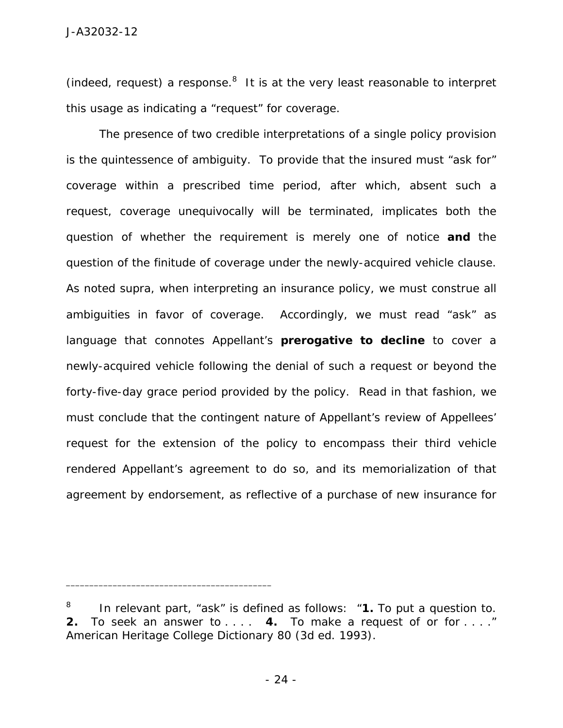(indeed, request) a response. $8$  It is at the very least reasonable to interpret this usage as indicating a "request" for coverage.

The presence of two credible interpretations of a single policy provision is the quintessence of ambiguity. To provide that the insured must "ask for" coverage within a prescribed time period, after which, absent such a request, coverage unequivocally will be terminated, implicates both the question of whether the requirement is merely one of notice **and** the question of the finitude of coverage under the newly-acquired vehicle clause. As noted *supra*, when interpreting an insurance policy, we must construe all ambiguities in favor of coverage. Accordingly, we must read "ask" as language that connotes Appellant's **prerogative to decline** to cover a newly-acquired vehicle following the denial of such a request or beyond the forty-five-day grace period provided by the policy. Read in that fashion, we must conclude that the contingent nature of Appellant's review of Appellees' request for the extension of the policy to encompass their third vehicle rendered Appellant's agreement to do so, and its memorialization of that agreement by endorsement, as reflective of a purchase of new insurance for

<sup>8</sup> In relevant part, "ask" is defined as follows: "**1.** To put a question to. **2.** To seek an answer to . . . . **4.** To make a request of or for . . . ." American Heritage College Dictionary 80 (3d ed. 1993).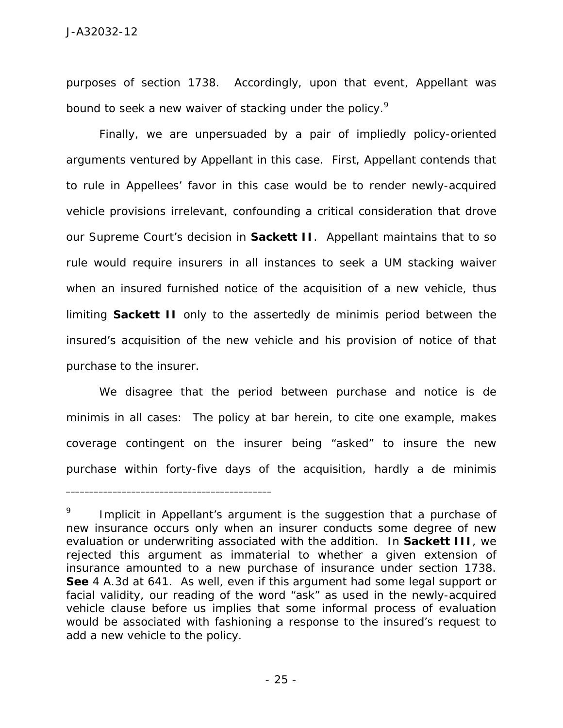purposes of section 1738. Accordingly, upon that event, Appellant was bound to seek a new waiver of stacking under the policy.<sup>9</sup>

Finally, we are unpersuaded by a pair of impliedly policy-oriented arguments ventured by Appellant in this case. First, Appellant contends that to rule in Appellees' favor in this case would be to render newly-acquired vehicle provisions irrelevant, confounding a critical consideration that drove our Supreme Court's decision in *Sackett II*. Appellant maintains that to so rule would require insurers in all instances to seek a UM stacking waiver when an insured furnished notice of the acquisition of a new vehicle, thus limiting *Sackett II* only to the assertedly *de minimis* period between the insured's acquisition of the new vehicle and his provision of notice of that purchase to the insurer.

We disagree that the period between purchase and notice is *de minimis* in all cases: The policy at bar herein, to cite one example, makes coverage contingent on the insurer being "asked" to insure the new purchase within forty-five days of the acquisition, hardly a *de minimis* 

<sup>9</sup> Implicit in Appellant's argument is the suggestion that a purchase of new insurance occurs only when an insurer conducts some degree of new evaluation or underwriting associated with the addition. In *Sackett III*, we rejected this argument as immaterial to whether a given extension of insurance amounted to a new purchase of insurance under section 1738. *See* 4 A.3d at 641. As well, even if this argument had some legal support or facial validity, our reading of the word "ask" as used in the newly-acquired vehicle clause before us implies that some informal process of evaluation would be associated with fashioning a response to the insured's request to add a new vehicle to the policy.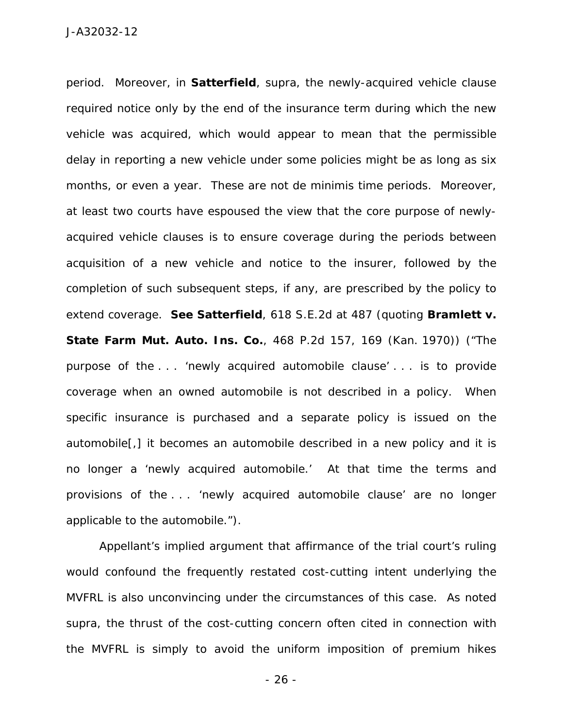period. Moreover, in *Satterfield*, *supra*, the newly-acquired vehicle clause required notice only by the end of the insurance term during which the new vehicle was acquired, which would appear to mean that the permissible delay in reporting a new vehicle under some policies might be as long as six months, or even a year. These are not *de minimis* time periods. Moreover, at least two courts have espoused the view that the core purpose of newlyacquired vehicle clauses is to ensure coverage during the periods between acquisition of a new vehicle and notice to the insurer, followed by the completion of such subsequent steps, if any, are prescribed by the policy to extend coverage. *See Satterfield*, 618 S.E.2d at 487 (quoting *Bramlett v. State Farm Mut. Auto. Ins. Co.*, 468 P.2d 157, 169 (Kan. 1970)) ("The purpose of the . . . 'newly acquired automobile clause' . . . is to provide coverage when an owned automobile is not described in a policy. When specific insurance is purchased and a separate policy is issued on the automobile[,] it becomes an automobile described in a new policy and it is no longer a 'newly acquired automobile.' At that time the terms and provisions of the . . . 'newly acquired automobile clause' are no longer applicable to the automobile.").

Appellant's implied argument that affirmance of the trial court's ruling would confound the frequently restated cost-cutting intent underlying the MVFRL is also unconvincing under the circumstances of this case. As noted *supra*, the thrust of the cost-cutting concern often cited in connection with the MVFRL is simply to avoid the uniform imposition of premium hikes

- 26 -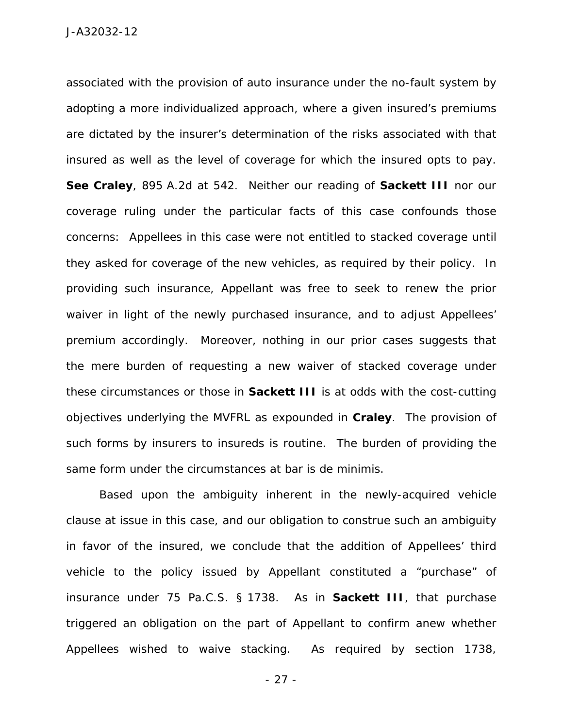associated with the provision of auto insurance under the no-fault system by adopting a more individualized approach, where a given insured's premiums are dictated by the insurer's determination of the risks associated with that insured as well as the level of coverage for which the insured opts to pay. *See Craley*, 895 A.2d at 542. Neither our reading of *Sackett III* nor our coverage ruling under the particular facts of this case confounds those concerns: Appellees in this case were not entitled to stacked coverage until they asked for coverage of the new vehicles, as required by their policy. In providing such insurance, Appellant was free to seek to renew the prior waiver in light of the newly purchased insurance, and to adjust Appellees' premium accordingly. Moreover, nothing in our prior cases suggests that the mere burden of requesting a new waiver of stacked coverage under these circumstances or those in *Sackett III* is at odds with the cost-cutting objectives underlying the MVFRL as expounded in *Craley*. The provision of such forms by insurers to insureds is routine. The burden of providing the same form under the circumstances at bar is *de minimis*.

 Based upon the ambiguity inherent in the newly-acquired vehicle clause at issue in this case, and our obligation to construe such an ambiguity in favor of the insured, we conclude that the addition of Appellees' third vehicle to the policy issued by Appellant constituted a "purchase" of insurance under 75 Pa.C.S. § 1738. As in *Sackett III*, that purchase triggered an obligation on the part of Appellant to confirm anew whether Appellees wished to waive stacking. As required by section 1738,

- 27 -